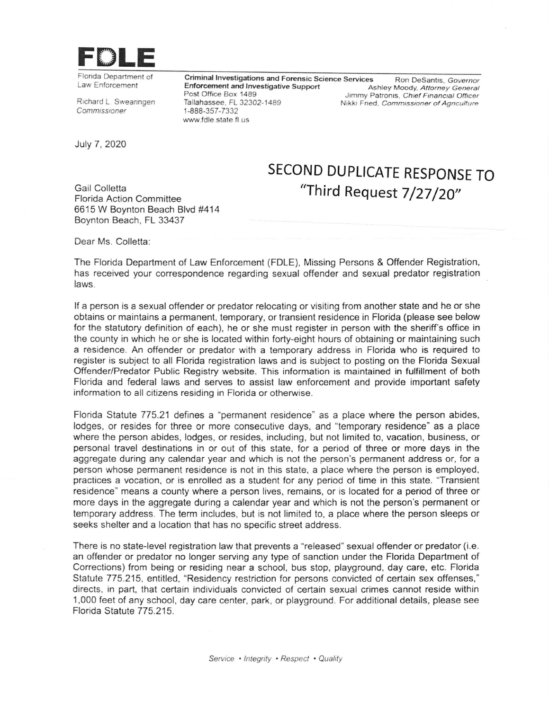

Flonda Department of Law Enforcement

Richard L. Swearingen Commissioner

Enforcement and lrwestigative Support Post Office Box 1489 Tallahassee, FL 32302-1489 '1-888-357-7332 www.fdle.state.fl.us Criminal Investigations and Forensic Science Services Ron DeSantis, Governor

Ashley Moody, Attorney General Jimmy Patronis, Chief Financial Officer Nikki Fried, Commissioner of Agnculture

July 7, 2020

Gail Colletta Florida Action Committee 6615 W Boynton Beach Blvd #414 Boynton Beach, FL 33437

## SECOND DUPLICATE RESPONSE TO "Third Request 7/27/20"

Dear Ms. Colletta:

The Florida Department of Law Enforcement (FDLE), Missing Persons & Offender Registration, has received your correspondence regarding sexual offender and sexual predator registration laws.

lf a person is a sexual offender or predator relocating or visiting from another state and he or she obtains or maintains a permanent, temporary, or transient residence in Florida (please see below for the statutory definition of each), he or she must register in person with the sheriff's office in the county in which he or she is located within forty-eight hours of obtaining or maintaining such a residence. An offender or predator with a temporary address in Florida who is required to register is subject to all Florida registration laws and is subject to posting on the Florida Sexual Offender/Predator Public Registry website. This information is maintained in fulfillment of both Florida and federal laws and serves to assist law enforcement and provide important safety information to all citizens residing in Florida or otherwise.

Florida Statute 775.21 defines a "permanent residence'" as a place where the person abides, lodges, or resides for three or more consecutive days, and "temporary residence" as a place where the person abides, lodges, or resides, including, but not limited to, vacation, business, or personal travel destinations in or out of this state, for a period of three or more days in the aggregate during any calendar year and which is not the person's permanent address or, for a person whose permanent residence is not in this state, a place where the person is employed, practices a vocation, or is enrolled as a student for any period of time in this state. "Transient residence" means a county where a person lives, remains, or is located for a period of three or more days in the aggregate during a calendar year and which is not the person's permanent or temporary address. The term includes, but is not limited to, a place where the person sleeps or seeks shelter and a location that has no specific street address.

There is no state-level registration law that prevents a "released" sexual offender or predator (i.e. an offender or predator no longer serving any type of sanction under the Florida Department of Corrections) from being or residing near a school, bus stop, playground, day care, etc. Florida Statute 775.215, entitled, "Residency restriction for persons convicted of certain sex offenses," directs, in part, that certain individuals convicted of certain sexual crimes cannot reside within 1,000 feet of any school, day care center, park, or playground. For additional details, please see Florida Statute 775.215.